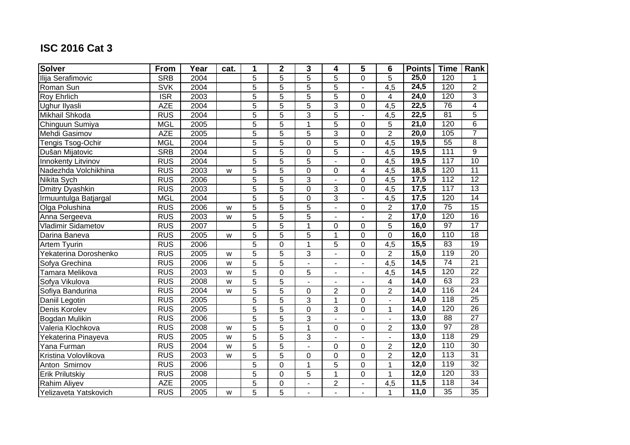| <b>Solver</b>             | From                    | Year | cat. | 1              | $\mathbf{2}$   | $\overline{3}$ | $\overline{\mathbf{4}}$  | 5                        | $6\phantom{1}6$          | <b>Points</b>     | <b>Time</b>     | Rank            |
|---------------------------|-------------------------|------|------|----------------|----------------|----------------|--------------------------|--------------------------|--------------------------|-------------------|-----------------|-----------------|
| Ilija Serafimovic         | <b>SRB</b>              | 2004 |      | $\overline{5}$ | 5              | $\overline{5}$ | $\overline{5}$           | 0                        | $\overline{5}$           | 25,0              | 120             | 1               |
| Roman Sun                 | <b>SVK</b>              | 2004 |      | $\overline{5}$ | $\overline{5}$ | $\overline{5}$ | $\overline{5}$           |                          | $\overline{4,5}$         | 24,5              | 120             | $\overline{2}$  |
| <b>Roy Ehrlich</b>        | $\overline{\text{ISR}}$ | 2003 |      | 5              | 5              | 5              | 5                        | 0                        | $\overline{4}$           | 24,0              | 120             | 3               |
| Ughur Ilyasli             | <b>AZE</b>              | 2004 |      | 5              | 5              | 5              | 3                        | $\mathbf 0$              | 4,5                      | 22,5              | 76              | 4               |
| Mikhail Shkoda            | <b>RUS</b>              | 2004 |      | 5              | 5              | 3              | 5                        |                          | 4,5                      | 22,5              | 81              | 5               |
| Chinguun Sumiya           | <b>MGL</b>              | 2005 |      | 5              | $\overline{5}$ | $\mathbf{1}$   | $\overline{5}$           | $\mathbf 0$              | 5                        | 21,0              | 120             | $\overline{6}$  |
| Mehdi Gasimov             | <b>AZE</b>              | 2005 |      | 5              | $\overline{5}$ | 5              | $\overline{3}$           | $\overline{0}$           | $\overline{2}$           | $\overline{20,0}$ | 105             | $\overline{7}$  |
| Tengis Tsog-Ochir         | <b>MGL</b>              | 2004 |      | 5              | $\overline{5}$ | $\Omega$       | $\overline{5}$           | $\overline{0}$           | 4,5                      | 19,5              | $\overline{55}$ | $\overline{8}$  |
| Dušan Mijatovic           | <b>SRB</b>              | 2004 |      | $\overline{5}$ | $\overline{5}$ | $\overline{0}$ | $\overline{5}$           |                          | 4,5                      | 19,5              | 111             | $\overline{9}$  |
| <b>Innokenty Litvinov</b> | <b>RUS</b>              | 2004 |      | $\overline{5}$ | $\overline{5}$ | 5              | $\overline{a}$           | $\mathbf 0$              | 4,5                      | 19,5              | 117             | 10              |
| Nadezhda Volchikhina      | <b>RUS</b>              | 2003 | W    | 5              | $\overline{5}$ | $\mathbf 0$    | $\mathbf 0$              | 4                        | 4,5                      | 18,5              | 120             | 11              |
| Nikita Sych               | <b>RUS</b>              | 2006 |      | 5              | 5              | 3              |                          | 0                        | 4,5                      | 17,5              | 112             | $\overline{12}$ |
| <b>Dmitry Dyashkin</b>    | <b>RUS</b>              | 2003 |      | $\overline{5}$ | $\overline{5}$ | $\mathbf 0$    | 3                        | $\pmb{0}$                | 4,5                      | 17,5              | 117             | $\overline{13}$ |
| Irmuuntulga Batjargal     | <b>MGL</b>              | 2004 |      | 5              | 5              | $\mathbf 0$    | 3                        | $\overline{\phantom{a}}$ | 4,5                      | 17,5              | 120             | 14              |
| Olga Polushina            | <b>RUS</b>              | 2006 | W    | 5              | 5              | 5              | ä,                       | $\mathbf 0$              | $\overline{2}$           | 17,0              | $\overline{75}$ | 15              |
| Anna Sergeeva             | <b>RUS</b>              | 2003 | W    | $\overline{5}$ | $\overline{5}$ | $\overline{5}$ | ä,                       |                          | $\overline{2}$           | 17,0              | 120             | 16              |
| <b>Vladimir Sidametov</b> | <b>RUS</b>              | 2007 |      | 5              | 5              | 1              | $\mathbf 0$              | $\mathbf 0$              | 5                        | 16,0              | 97              | 17              |
| Darina Baneva             | <b>RUS</b>              | 2005 | W    | 5              | 5              | 5              | $\mathbf{1}$             | $\mathbf 0$              | $\overline{0}$           | 16,0              | 110             | 18              |
| Artem Tyurin              | <b>RUS</b>              | 2006 |      | 5              | $\pmb{0}$      | 1              | 5                        | 0                        | 4,5                      | 15,5              | 83              | $\overline{19}$ |
| Yekaterina Doroshenko     | <b>RUS</b>              | 2005 | W    | $\overline{5}$ | $\overline{5}$ | $\overline{3}$ | $\blacksquare$           | $\mathbf 0$              | $\overline{2}$           | 15,0              | 119             | 20              |
| Sofya Grechina            | <b>RUS</b>              | 2006 | W    | 5              | 5              |                | ä,                       | $\blacksquare$           | 4,5                      | 14,5              | 74              | $\overline{21}$ |
| Tamara Melikova           | <b>RUS</b>              | 2003 | W    | 5              | $\overline{0}$ | 5              | $\blacksquare$           |                          | 4,5                      | 14,5              | 120             | $\overline{22}$ |
| Sofya Vikulova            | <b>RUS</b>              | 2008 | W    | $\overline{5}$ | $\overline{5}$ |                | $\overline{a}$           |                          | $\overline{\mathbf{4}}$  | 14,0              | 63              | 23              |
| Sofiya Bandurina          | <b>RUS</b>              | 2004 | W    | 5              | $\overline{5}$ | $\mathbf 0$    | $\overline{2}$           | $\mathbf 0$              | $\overline{2}$           | 14,0              | 116             | 24              |
| Daniil Legotin            | <b>RUS</b>              | 2005 |      | 5              | $\overline{5}$ | 3              | $\mathbf{1}$             | $\mathbf 0$              | $\blacksquare$           | 14,0              | 118             | $\overline{25}$ |
| Denis Korolev             | <b>RUS</b>              | 2005 |      | 5              | 5              | $\mathbf 0$    | 3                        | $\pmb{0}$                | $\mathbf{1}$             | 14,0              | 120             | $\overline{26}$ |
| Bogdan Mulikin            | <b>RUS</b>              | 2006 |      | $\overline{5}$ | $\overline{5}$ | $\overline{3}$ | $\overline{\phantom{a}}$ | $\blacksquare$           | $\blacksquare$           | 13,0              | $\overline{88}$ | $\overline{27}$ |
| Valeria Klochkova         | <b>RUS</b>              | 2008 | W    | 5              | 5              | 1              | $\Omega$                 | 0                        | $\overline{2}$           | 13,0              | $\overline{97}$ | $\overline{28}$ |
| Yekaterina Pinayeva       | <b>RUS</b>              | 2005 | W    | $\overline{5}$ | $\overline{5}$ | 3              | ä,                       | $\blacksquare$           | $\overline{\phantom{a}}$ | 13,0              | 118             | 29              |
| Yana Furman               | <b>RUS</b>              | 2004 | W    | 5              | 5              | $\blacksquare$ | $\mathbf 0$              | $\mathbf 0$              | $\overline{2}$           | 12,0              | 110             | $\overline{30}$ |
| Kristina Volovlikova      | <b>RUS</b>              | 2003 | W    | $\overline{5}$ | $\overline{5}$ | $\mathbf 0$    | $\overline{0}$           | $\mathbf 0$              | $\overline{2}$           | 12,0              | 113             | $\overline{31}$ |
| Anton Smirnov             | <b>RUS</b>              | 2006 |      | 5              | $\pmb{0}$      | $\mathbf{1}$   | 5                        | $\mathbf 0$              | $\mathbf 1$              | 12,0              | 119             | $\overline{32}$ |
| <b>Erik Prilutskiy</b>    | <b>RUS</b>              | 2008 |      | 5              | $\mathbf 0$    | 5              | 1                        | $\mathbf 0$              | $\mathbf{1}$             | 12,0              | 120             | 33              |
| Rahim Aliyev              | <b>AZE</b>              | 2005 |      | 5              | $\,0\,$        |                | $\overline{c}$           |                          | 4,5                      | 11,5              | 118             | $\overline{34}$ |
| Yelizaveta Yatskovich     | <b>RUS</b>              | 2005 | W    | $\overline{5}$ | $\overline{5}$ |                |                          |                          | $\mathbf{1}$             | 11,0              | 35              | 35              |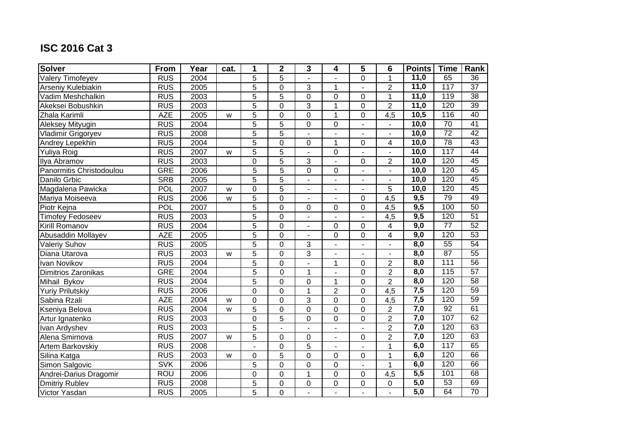| <b>Solver</b>            | From       | Year | cat. | 1              | $\mathbf 2$      | 3                        | 4                        | 5                        | $6\phantom{1}6$          | <b>Points</b>     | <b>Time</b>     | Rank            |
|--------------------------|------------|------|------|----------------|------------------|--------------------------|--------------------------|--------------------------|--------------------------|-------------------|-----------------|-----------------|
| <b>Valery Timofeyev</b>  | RUS        | 2004 |      | $\overline{5}$ | $\overline{5}$   |                          |                          | 0                        | $\mathbf{1}$             | 11,0              | 65              | $\overline{36}$ |
| Arseniy Kulebiakin       | <b>RUS</b> | 2005 |      | 5              | $\mathbf 0$      | 3                        | 1                        |                          | $\overline{2}$           | 11,0              | 117             | $\overline{37}$ |
| Vadim Meshchalkin        | <b>RUS</b> | 2003 |      | 5              | $\overline{5}$   | 0                        | $\overline{0}$           | 0                        | $\mathbf{1}$             | 11,0              | 119             | 38              |
| Akeksei Bobushkin        | <b>RUS</b> | 2003 |      | 5              | $\mathbf 0$      | 3                        | 1                        | 0                        | $\overline{2}$           | 11,0              | 120             | 39              |
| Zhala Karimli            | <b>AZE</b> | 2005 | W    | 5              | $\mathbf 0$      | 0                        | $\mathbf{1}$             | 0                        | $\overline{4,5}$         | 10,5              | 116             | 40              |
| Aleksey Mityugin         | <b>RUS</b> | 2004 |      | 5              | 5                | 0                        | $\mathbf 0$              | $\overline{\phantom{a}}$ | $\blacksquare$           | 10,0              | 70              | 41              |
| Vladimir Grigoryev       | <b>RUS</b> | 2008 |      | 5              | $\overline{5}$   |                          |                          |                          | $\overline{a}$           | $\overline{10,0}$ | $\overline{72}$ | 42              |
| Andrey Lepekhin          | <b>RUS</b> | 2004 |      | 5              | $\mathsf 0$      | 0                        | 1                        | 0                        | 4                        | 10,0              | 78              | 43              |
| Yuliya Roig              | <b>RUS</b> | 2007 | W    | 5              | $\overline{5}$   |                          | $\mathbf 0$              |                          | $\mathbf{r}$             | 10,0              | 117             | 44              |
| Ilya Abramov             | <b>RUS</b> | 2003 |      | 0              | 5                | 3                        | ä,                       | 0                        | $\overline{c}$           | 10,0              | 120             | 45              |
| Panormitis Christodoulou | <b>GRE</b> | 2006 |      | 5              | $\overline{5}$   | 0                        | 0                        | $\overline{\phantom{a}}$ | $\blacksquare$           | 10,0              | 120             | 45              |
| Danilo Grbic             | <b>SRB</b> | 2005 |      | 5              | 5                |                          |                          |                          |                          | 10,0              | 120             | 45              |
| Magdalena Pawicka        | POL        | 2007 | W    | $\overline{0}$ | $\overline{5}$   | $\blacksquare$           | $\overline{a}$           |                          | 5                        | 10,0              | 120             | 45              |
| Mariya Moiseeva          | <b>RUS</b> | 2006 | W    | 5              | $\mathbf 0$      | $\overline{\phantom{a}}$ | $\blacksquare$           | 0                        | 4,5                      | 9,5               | 79              | 49              |
| Piotr Kejna              | POL        | 2007 |      | 5              | $\mathbf 0$      | 0                        | $\Omega$                 | 0                        | 4,5                      | 9,5               | 100             | 50              |
| Timofey Fedoseev         | <b>RUS</b> | 2003 |      | 5              | $\mathbf 0$      | $\blacksquare$           | ä,                       |                          | 4,5                      | 9,5               | 120             | 51              |
| Kirill Romanov           | <b>RUS</b> | 2004 |      | 5              | $\mathsf 0$      | $\blacksquare$           | $\mathbf 0$              | 0                        | $\overline{\mathbf{4}}$  | 9,0               | $\overline{77}$ | 52              |
| Abusaddin Mollayev       | <b>AZE</b> | 2005 |      | 5              | $\mathbf 0$      | ÷.                       | $\mathbf 0$              | 0                        | 4                        | 9,0               | 120             | 53              |
| <b>Valeriy Suhov</b>     | <b>RUS</b> | 2005 |      | 5              | $\boldsymbol{0}$ | 3                        |                          |                          | $\overline{\phantom{a}}$ | 8,0               | 55              | 54              |
| Diana Utarova            | <b>RUS</b> | 2003 | W    | 5              | $\mathbf 0$      | $\overline{3}$           | $\overline{\phantom{a}}$ |                          | $\overline{a}$           | 8,0               | 87              | 55              |
| <b>Ivan Novikov</b>      | <b>RUS</b> | 2004 |      | 5              | $\boldsymbol{0}$ |                          | $\mathbf 1$              | 0                        | $\overline{2}$           | 8,0               | 111             | $\overline{56}$ |
| Dimitrios Zaronikas      | <b>GRE</b> | 2004 |      | $\overline{5}$ | $\mathbf 0$      | $\mathbf{1}$             | L.                       | 0                        | $\overline{2}$           | 8,0               | 115             | 57              |
| Mihail Bykov             | <b>RUS</b> | 2004 |      | 5              | $\boldsymbol{0}$ | 0                        | 1                        | 0                        | $\overline{2}$           | 8,0               | 120             | $\overline{58}$ |
| <b>Yuriy Prilutskiy</b>  | <b>RUS</b> | 2006 |      | $\mathbf 0$    | $\overline{0}$   | $\overline{1}$           | $\overline{2}$           | 0                        | 4,5                      | 7,5               | 120             | 59              |
| Sabina Rzali             | <b>AZE</b> | 2004 | W    | 0              | $\overline{0}$   | 3                        | $\overline{0}$           | 0                        | 4,5                      | 7,5               | 120             | 59              |
| Kseniya Belova           | <b>RUS</b> | 2004 | W    | 5              | $\mathbf 0$      | $\mathbf 0$              | $\mathbf 0$              | 0                        | $\overline{c}$           | 7,0               | 92              | 61              |
| Artur Ignatenko          | <b>RUS</b> | 2003 |      | $\overline{0}$ | $\overline{5}$   | 0                        | $\mathbf 0$              | 0                        | $\overline{2}$           | 7,0               | 107             | 62              |
| Ivan Ardyshev            | <b>RUS</b> | 2003 |      | 5              |                  |                          |                          |                          | $\overline{2}$           | 7,0               | 120             | 63              |
| Alena Smirnova           | <b>RUS</b> | 2007 | W    | 5              | $\mathbf 0$      | 0                        | $\blacksquare$           | 0                        | $\overline{2}$           | 7,0               | 120             | 63              |
| Artem Barkovskiy         | <b>RUS</b> | 2008 |      |                | 0                | 5                        | $\blacksquare$           |                          | 1                        | 6,0               | 117             | 65              |
| Silina Katga             | <b>RUS</b> | 2003 | W    | 0              | 5                | 0                        | 0                        | 0                        | $\mathbf{1}$             | 6,0               | 120             | 66              |
| Simon Salgovic           | <b>SVK</b> | 2006 |      | 5              | $\mathbf 0$      | 0                        | $\mathbf 0$              | $\overline{a}$           | $\overline{1}$           | 6,0               | 120             | 66              |
| Andrei-Darius Dragomir   | ROU        | 2006 |      | 0              | 0                | $\mathbf{1}$             | $\mathbf 0$              | 0                        | 4,5                      | 5,5               | 101             | 68              |
| <b>Dmitriy Rublev</b>    | <b>RUS</b> | 2008 |      | 5              | $\mathbf 0$      | 0                        | 0                        | 0                        | $\pmb{0}$                | 5,0               | $\overline{53}$ | 69              |
| Victor Yasdan            | <b>RUS</b> | 2005 |      | 5              | $\boldsymbol{0}$ |                          |                          |                          |                          | 5,0               | 64              | 70              |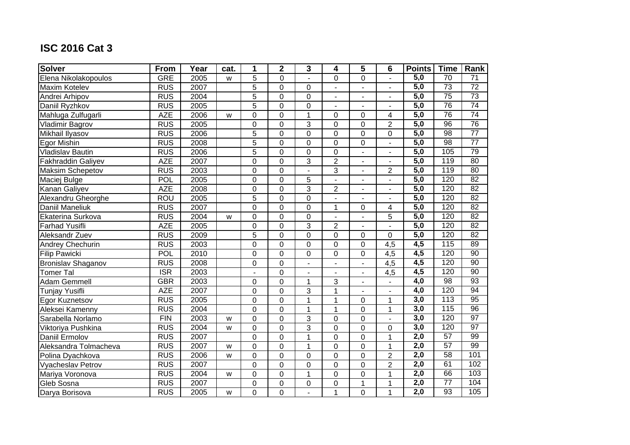| <b>Solver</b>           | From                    | Year | cat. | 1              | $\mathbf 2$      | 3              | 4              | 5                        | 6                | <b>Points</b>    | <b>Time</b>      | Rank            |
|-------------------------|-------------------------|------|------|----------------|------------------|----------------|----------------|--------------------------|------------------|------------------|------------------|-----------------|
| Elena Nikolakopoulos    | <b>GRE</b>              | 2005 | W    | 5              | $\overline{0}$   | ÷.             | $\Omega$       | 0                        | $\blacksquare$   | 5,0              | 70               | $\overline{71}$ |
| <b>Maxim Kotelev</b>    | <b>RUS</b>              | 2007 |      | 5              | $\overline{0}$   | 0              | L.             |                          | $\blacksquare$   | 5,0              | 73               | $\overline{72}$ |
| Andrei Arhipov          | <b>RUS</b>              | 2004 |      | 5              | $\mathbf 0$      | 0              | $\overline{a}$ | ٠                        | $\blacksquare$   | 5,0              | $\overline{75}$  | 73              |
| Daniil Ryzhkov          | <b>RUS</b>              | 2005 |      | 5              | $\mathbf 0$      | 0              | $\overline{a}$ |                          | $\overline{a}$   | 5,0              | 76               | 74              |
| Mahluga Zulfugarli      | <b>AZE</b>              | 2006 | W    | 0              | $\boldsymbol{0}$ | 1              | 0              | 0                        | 4                | $\overline{5,0}$ | 76               | $\overline{74}$ |
| <b>Vladimir Bagrov</b>  | <b>RUS</b>              | 2005 |      | 0              | $\mathbf 0$      | 3              | $\mathbf 0$    | 0                        | $\overline{2}$   | 5,0              | 96               | 76              |
| Mikhail Ilyasov         | <b>RUS</b>              | 2006 |      | 5              | $\boldsymbol{0}$ | 0              | $\mathbf 0$    | 0                        | $\boldsymbol{0}$ | $\overline{5,0}$ | $\overline{98}$  | $\overline{77}$ |
| Egor Mishin             | <b>RUS</b>              | 2008 |      | 5              | $\mathbf 0$      | 0              | $\overline{0}$ | 0                        | $\blacksquare$   | $\overline{5,0}$ | 98               | $\overline{77}$ |
| <b>Vladislav Bautin</b> | <b>RUS</b>              | 2006 |      | $\overline{5}$ | $\mathbf 0$      | 0              | $\overline{0}$ |                          | $\overline{a}$   | 5,0              | 105              | 79              |
| Fakhraddin Galiyev      | <b>AZE</b>              | 2007 |      | $\mathbf 0$    | $\overline{0}$   | $\overline{3}$ | $\overline{2}$ |                          | ÷.               | 5,0              | 119              | 80              |
| <b>Maksim Schepetov</b> | <b>RUS</b>              | 2003 |      | 0              | $\mathbf 0$      |                | $\overline{3}$ |                          | $\overline{2}$   | 5,0              | 119              | 80              |
| Maciej Bulge            | POL                     | 2005 |      | $\overline{0}$ | $\mathbf 0$      | 5              |                |                          |                  | 5,0              | 120              | 82              |
| Kanan Galiyev           | <b>AZE</b>              | 2008 |      | $\mathbf 0$    | $\mathbf 0$      | 3              | $\overline{2}$ | $\overline{\phantom{m}}$ | $\blacksquare$   | 5,0              | 120              | 82              |
| Alexandru Gheorghe      | <b>ROU</b>              | 2005 |      | 5              | $\mathbf 0$      | 0              | ÷,             |                          | $\blacksquare$   | 5,0              | 120              | 82              |
| Daniil Maneliuk         | <b>RUS</b>              | 2007 |      | 0              | $\mathbf 0$      | 0              | 1              | 0                        | 4                | 5,0              | 120              | $\overline{82}$ |
| Ekaterina Surkova       | <b>RUS</b>              | 2004 | W    | 0              | $\boldsymbol{0}$ | 0              | $\blacksquare$ |                          | 5                | 5,0              | 120              | 82              |
| <b>Farhad Yusifli</b>   | <b>AZE</b>              | 2005 |      | 0              | $\mathbf 0$      | $\overline{3}$ | $\overline{2}$ | ä,                       | $\blacksquare$   | 5,0              | 120              | 82              |
| Aleksandr Zuev          | <b>RUS</b>              | 2009 |      | 5              | $\mathbf 0$      | 0              | $\overline{0}$ | 0                        | $\overline{0}$   | 5,0              | 120              | 82              |
| Andrey Chechurin        | <b>RUS</b>              | 2003 |      | 0              | $\mathbf 0$      | 0              | $\mathbf 0$    | 0                        | $\overline{4,5}$ | 4,5              | 115              | 89              |
| <b>Filip Pawicki</b>    | POL                     | 2010 |      | $\mathbf 0$    | $\mathbf 0$      | 0              | $\mathbf 0$    | 0                        | $\overline{4,5}$ | 4,5              | 120              | 90              |
| Bronislav Shaganov      | <b>RUS</b>              | 2008 |      | 0              | $\mathbf 0$      | $\blacksquare$ | $\blacksquare$ | $\overline{a}$           | 4,5              | 4,5              | 120              | 90              |
| <b>Tomer Tal</b>        | $\overline{\text{ISR}}$ | 2003 |      |                | $\mathbf 0$      |                |                |                          | 4,5              | 4,5              | 120              | 90              |
| Adam Gemmell            | <b>GBR</b>              | 2003 |      | 0              | $\boldsymbol{0}$ | 1              | 3              |                          |                  | 4,0              | $\overline{98}$  | 93              |
| <b>Tunjay Yusifli</b>   | <b>AZE</b>              | 2007 |      | $\mathbf 0$    | $\overline{0}$   | 3              | $\overline{1}$ |                          | ÷,               | 4,0              | 120              | 94              |
| Egor Kuznetsov          | <b>RUS</b>              | 2005 |      | 0              | $\boldsymbol{0}$ | $\mathbf{1}$   | 1              | 0                        | $\mathbf{1}$     | 3,0              | $\overline{113}$ | 95              |
| Aleksei Kamenny         | <b>RUS</b>              | 2004 |      | 0              | $\mathbf 0$      | 1              | 1              | 0                        | $\mathbf{1}$     | 3,0              | 115              | 96              |
| Sarabella Norlamo       | FIN                     | 2003 | W    | $\overline{0}$ | $\mathbf 0$      | 3              | $\overline{0}$ | $\mathbf 0$              | $\blacksquare$   | 3,0              | 120              | 97              |
| Viktoriya Pushkina      | <b>RUS</b>              | 2004 | W    | 0              | $\mathbf 0$      | $\overline{3}$ | $\mathbf 0$    | 0                        | $\boldsymbol{0}$ | 3,0              | 120              | 97              |
| Daniil Ermolov          | <b>RUS</b>              | 2007 |      | 0              | $\overline{0}$   | $\mathbf{1}$   | $\overline{0}$ | 0                        | $\overline{1}$   | 2,0              | 57               | 99              |
| Aleksandra Tolmacheva   | <b>RUS</b>              | 2007 | W    | 0              | $\mathbf 0$      | 1              | $\overline{0}$ | 0                        | $\mathbf{1}$     | $\overline{2,0}$ | 57               | 99              |
| Polina Dyachkova        | <b>RUS</b>              | 2006 | W    | 0              | $\boldsymbol{0}$ | 0              | $\overline{0}$ | 0                        | $\overline{2}$   | $\overline{2,0}$ | 58               | 101             |
| Vyacheslav Petrov       | <b>RUS</b>              | 2007 |      | 0              | $\mathbf 0$      | 0              | $\overline{0}$ | 0                        | $\overline{2}$   | $\overline{2,0}$ | 61               | 102             |
| Mariya Voronova         | <b>RUS</b>              | 2004 | W    | 0              | 0                | $\mathbf{1}$   | $\mathbf 0$    | 0                        | $\mathbf{1}$     | $\overline{2,0}$ | 66               | 103             |
| Gleb Sosna              | <b>RUS</b>              | 2007 |      | 0              | $\boldsymbol{0}$ | 0              | 0              | 1                        | $\mathbf 1$      | $\overline{2,0}$ | $\overline{77}$  | 104             |
| Darya Borisova          | <b>RUS</b>              | 2005 | W    | 0              | $\boldsymbol{0}$ |                | 1              | 0                        | $\mathbf{1}$     | $\overline{2,0}$ | 93               | 105             |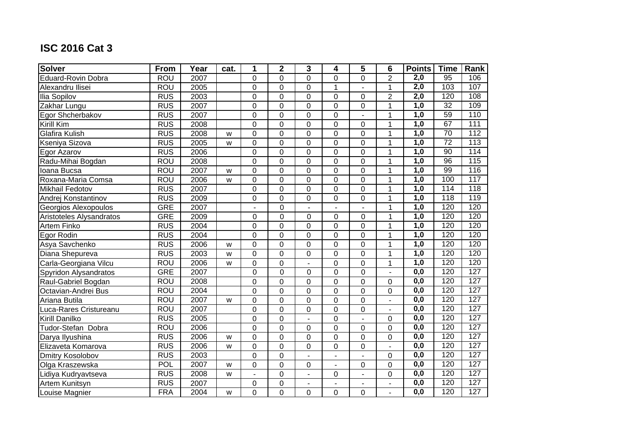| <b>Solver</b>            | From       | Year | cat. | 1              | $\mathbf 2$      | 3              | 4                | 5              | $6\phantom{1}6$  | <b>Points</b>    | <b>Time</b>     | Rank |
|--------------------------|------------|------|------|----------------|------------------|----------------|------------------|----------------|------------------|------------------|-----------------|------|
| Eduard-Rovin Dobra       | <b>ROU</b> | 2007 |      | $\Omega$       | $\mathbf 0$      | 0              | $\Omega$         | 0              | $\overline{2}$   | $\overline{2,0}$ | $\overline{95}$ | 106  |
| Alexandru Ilisei         | <b>ROU</b> | 2005 |      | 0              | $\overline{0}$   | 0              | $\mathbf{1}$     |                | $\mathbf{1}$     | 2,0              | 103             | 107  |
| <b>Ilia Sopilov</b>      | <b>RUS</b> | 2003 |      | 0              | $\mathbf 0$      | 0              | 0                | 0              | $\overline{2}$   | 2,0              | 120             | 108  |
| Zakhar Lungu             | <b>RUS</b> | 2007 |      | 0              | $\mathbf 0$      | 0              | $\overline{0}$   | 0              | $\mathbf{1}$     | 1,0              | $\overline{32}$ | 109  |
| Egor Shcherbakov         | <b>RUS</b> | 2007 |      | 0              | $\mathbf 0$      | 0              | $\mathbf 0$      |                | 1                | 1,0              | 59              | 110  |
| Kirill Kim               | <b>RUS</b> | 2008 |      | 0              | $\mathbf 0$      | 0              | $\mathbf 0$      | 0              | $\mathbf{1}$     | 1,0              | 67              | 111  |
| <b>Glafira Kulish</b>    | <b>RUS</b> | 2008 | W    | 0              | $\mathbf 0$      | 0              | $\mathbf 0$      | 0              | 1                | $\overline{1,0}$ | 70              | 112  |
| Kseniya Sizova           | <b>RUS</b> | 2005 | W    | 0              | $\mathbf 0$      | 0              | $\overline{0}$   | 0              | $\mathbf{1}$     | 1,0              | $\overline{72}$ | 113  |
| Egor Azarov              | <b>RUS</b> | 2006 |      | 0              | $\mathbf 0$      | 0              | $\overline{0}$   | 0              | $\overline{1}$   | 1,0              | 90              | 114  |
| Radu-Mihai Bogdan        | <b>ROU</b> | 2008 |      | 0              | $\overline{0}$   | 0              | $\overline{0}$   | 0              | $\overline{1}$   | 1,0              | 96              | 115  |
| Ioana Bucsa              | ROU        | 2007 | W    | 0              | $\mathbf 0$      | 0              | $\mathbf 0$      | 0              | $\mathbf{1}$     | $\overline{1,0}$ | 99              | 116  |
| Roxana-Maria Comsa       | <b>ROU</b> | 2006 | W    | $\overline{0}$ | $\mathbf 0$      | 0              | $\overline{0}$   | $\overline{0}$ | $\overline{1}$   | 1,0              | 100             | 117  |
| <b>Mikhail Fedotov</b>   | <b>RUS</b> | 2007 |      | $\overline{0}$ | $\mathbf 0$      | 0              | $\mathbf 0$      | $\mathbf 0$    | $\mathbf{1}$     | 1,0              | 114             | 118  |
| Andrej Konstantinov      | <b>RUS</b> | 2009 |      | $\overline{0}$ | $\mathbf 0$      | 0              | $\mathbf 0$      | 0              | $\mathbf{1}$     | 1,0              | 118             | 119  |
| Georgios Alexopoulos     | <b>GRE</b> | 2007 |      |                | $\boldsymbol{0}$ |                |                  |                | $\mathbf{1}$     | 1,0              | 120             | 120  |
| Aristoteles Alysandratos | <b>GRE</b> | 2009 |      | 0              | $\mathbf 0$      | 0              | $\mathbf 0$      | 0              | 1                | 1,0              | 120             | 120  |
| <b>Artem Finko</b>       | <b>RUS</b> | 2004 |      | 0              | $\mathbf 0$      | 0              | $\overline{0}$   | 0              | $\mathbf{1}$     | 1,0              | 120             | 120  |
| Egor Rodin               | <b>RUS</b> | 2004 |      | 0              | $\mathbf 0$      | 0              | $\mathbf 0$      | 0              | $\mathbf 1$      | 1,0              | 120             | 120  |
| Asya Savchenko           | <b>RUS</b> | 2006 | W    | 0              | $\mathbf 0$      | 0              | $\mathbf 0$      | 0              | $\mathbf{1}$     | 1,0              | 120             | 120  |
| Diana Shepureva          | <b>RUS</b> | 2003 | W    | 0              | $\boldsymbol{0}$ | 0              | $\boldsymbol{0}$ | 0              | $\mathbf{1}$     | 1,0              | 120             | 120  |
| Carla-Georgiana Vilcu    | <b>ROU</b> | 2006 | W    | $\mathbf 0$    | $\mathbf 0$      | $\mathbf{r}$   | $\mathbf 0$      | 0              | $\overline{1}$   | 1,0              | 120             | 120  |
| Spyridon Alysandratos    | <b>GRE</b> | 2007 |      | $\mathbf 0$    | $\boldsymbol{0}$ | $\mathbf 0$    | $\mathbf 0$      | 0              | $\blacksquare$   | $\overline{0,0}$ | 120             | 127  |
| Raul-Gabriel Bogdan      | <b>ROU</b> | 2008 |      | 0              | $\mathbf 0$      | 0              | $\overline{0}$   | 0              | $\mathbf 0$      | 0,0              | 120             | 127  |
| Octavian-Andrei Bus      | <b>ROU</b> | 2004 |      | 0              | $\mathbf 0$      | $\overline{0}$ | $\overline{0}$   | 0              | $\mathbf 0$      | 0,0              | 120             | 127  |
| Ariana Butila            | <b>ROU</b> | 2007 | W    | $\mathbf 0$    | $\overline{0}$   | 0              | $\overline{0}$   | 0              | $\overline{a}$   | 0,0              | 120             | 127  |
| Luca-Rares Cristureanu   | <b>ROU</b> | 2007 |      | 0              | $\overline{0}$   | 0              | $\overline{0}$   | 0              | $\overline{a}$   | $\overline{0,0}$ | 120             | 127  |
| Kirill Danilko           | <b>RUS</b> | 2005 |      | 0              | $\mathbf 0$      |                | $\mathbf 0$      |                | $\mathbf 0$      | 0,0              | 120             | 127  |
| Tudor-Stefan Dobra       | <b>ROU</b> | 2006 |      | 0              | $\mathbf 0$      | 0              | $\mathbf 0$      | 0              | $\mathbf 0$      | $\overline{0,0}$ | 120             | 127  |
| Darya Ilyushina          | <b>RUS</b> | 2006 | W    | $\overline{0}$ | $\mathbf 0$      | $\overline{0}$ | $\mathbf 0$      | 0              | $\boldsymbol{0}$ | $\overline{0,0}$ | 120             | 127  |
| Elizaveta Komarova       | <b>RUS</b> | 2006 | W    | 0              | $\mathbf 0$      | 0              | $\mathbf 0$      | 0              | $\blacksquare$   | $\overline{0,0}$ | 120             | 127  |
| Dmitry Kosolobov         | <b>RUS</b> | 2003 |      | 0              | $\mathbf 0$      | $\blacksquare$ | $\blacksquare$   |                | $\mathbf 0$      | 0,0              | 120             | 127  |
| Olga Kraszewska          | <b>POL</b> | 2007 | W    | 0              | 0                | 0              | $\blacksquare$   | 0              | 0                | $\overline{0,0}$ | 120             | 127  |
| Lidiya Kudryavtseva      | <b>RUS</b> | 2008 | W    | $\overline{a}$ | $\mathbf 0$      | $\blacksquare$ | 0                | $\mathbf{r}$   | $\mathbf 0$      | 0,0              | 120             | 127  |
| Artem Kunitsyn           | <b>RUS</b> | 2007 |      | 0              | 0                |                | ä,               |                | ÷,               | $\overline{0,0}$ | 120             | 127  |
| Louise Magnier           | <b>FRA</b> | 2004 | W    | 0              | 0                | 0              | 0                | 0              | $\blacksquare$   | $\overline{0,0}$ | 120             | 127  |